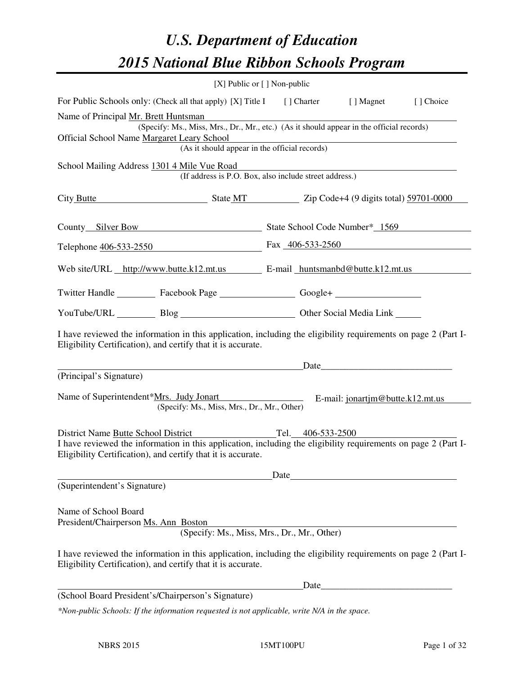# *U.S. Department of Education 2015 National Blue Ribbon Schools Program*

|                                                                                                                                                                                | $[X]$ Public or $[ ]$ Non-public |                   |                                  |  |
|--------------------------------------------------------------------------------------------------------------------------------------------------------------------------------|----------------------------------|-------------------|----------------------------------|--|
| For Public Schools only: (Check all that apply) [X] Title I [] Charter [] Magnet<br>[] Choice                                                                                  |                                  |                   |                                  |  |
| Name of Principal Mr. Brett Huntsman                                                                                                                                           |                                  |                   |                                  |  |
| (Specify: Ms., Miss, Mrs., Dr., Mr., etc.) (As it should appear in the official records)                                                                                       |                                  |                   |                                  |  |
| Official School Name Margaret Leary School<br>(As it should appear in the official records)                                                                                    |                                  |                   |                                  |  |
| School Mailing Address 1301 4 Mile Vue Road                                                                                                                                    |                                  |                   |                                  |  |
| (If address is P.O. Box, also include street address.)                                                                                                                         |                                  |                   |                                  |  |
| City Butte State MT State MT Zip Code+4 (9 digits total) 59701-0000                                                                                                            |                                  |                   |                                  |  |
| County Silver Bow State School Code Number* 1569                                                                                                                               |                                  |                   |                                  |  |
| Telephone 406-533-2550 Fax 406-533-2560                                                                                                                                        |                                  |                   |                                  |  |
| Web site/URL http://www.butte.k12.mt.us E-mail huntsmanbd@butte.k12.mt.us                                                                                                      |                                  |                   |                                  |  |
| Twitter Handle ___________ Facebook Page ____________________ Google+ ___________                                                                                              |                                  |                   |                                  |  |
| YouTube/URL Blog Blog Cher Social Media Link                                                                                                                                   |                                  |                   |                                  |  |
| I have reviewed the information in this application, including the eligibility requirements on page 2 (Part I-<br>Eligibility Certification), and certify that it is accurate. |                                  |                   |                                  |  |
|                                                                                                                                                                                |                                  |                   | Date                             |  |
| (Principal's Signature)                                                                                                                                                        |                                  |                   |                                  |  |
| Name of Superintendent*Mrs. Judy Jonart<br>(Specify: Ms., Miss, Mrs., Dr., Mr., Other)                                                                                         |                                  |                   | E-mail: jonartim@butte.k12.mt.us |  |
| District Name Butte School District                                                                                                                                            |                                  | Tel. 406-533-2500 |                                  |  |
| I have reviewed the information in this application, including the eligibility requirements on page 2 (Part I-<br>Eligibility Certification), and certify that it is accurate. |                                  |                   |                                  |  |
|                                                                                                                                                                                |                                  | Date              |                                  |  |
| (Superintendent's Signature)                                                                                                                                                   |                                  |                   |                                  |  |
| Name of School Board<br>President/Chairperson Ms. Ann Boston<br>(Specify: Ms., Miss, Mrs., Dr., Mr., Other)                                                                    |                                  |                   |                                  |  |
| I have reviewed the information in this application, including the eligibility requirements on page 2 (Part I-<br>Eligibility Certification), and certify that it is accurate. |                                  |                   |                                  |  |
|                                                                                                                                                                                |                                  | Date              |                                  |  |
| (School Board President's/Chairperson's Signature)                                                                                                                             |                                  |                   |                                  |  |
| *Non-public Schools: If the information requested is not applicable, write N/A in the space.                                                                                   |                                  |                   |                                  |  |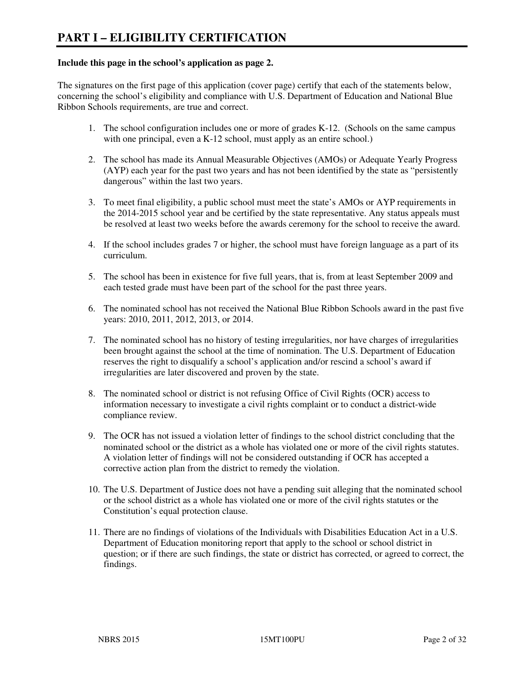#### **Include this page in the school's application as page 2.**

The signatures on the first page of this application (cover page) certify that each of the statements below, concerning the school's eligibility and compliance with U.S. Department of Education and National Blue Ribbon Schools requirements, are true and correct.

- 1. The school configuration includes one or more of grades K-12. (Schools on the same campus with one principal, even a K-12 school, must apply as an entire school.)
- 2. The school has made its Annual Measurable Objectives (AMOs) or Adequate Yearly Progress (AYP) each year for the past two years and has not been identified by the state as "persistently dangerous" within the last two years.
- 3. To meet final eligibility, a public school must meet the state's AMOs or AYP requirements in the 2014-2015 school year and be certified by the state representative. Any status appeals must be resolved at least two weeks before the awards ceremony for the school to receive the award.
- 4. If the school includes grades 7 or higher, the school must have foreign language as a part of its curriculum.
- 5. The school has been in existence for five full years, that is, from at least September 2009 and each tested grade must have been part of the school for the past three years.
- 6. The nominated school has not received the National Blue Ribbon Schools award in the past five years: 2010, 2011, 2012, 2013, or 2014.
- 7. The nominated school has no history of testing irregularities, nor have charges of irregularities been brought against the school at the time of nomination. The U.S. Department of Education reserves the right to disqualify a school's application and/or rescind a school's award if irregularities are later discovered and proven by the state.
- 8. The nominated school or district is not refusing Office of Civil Rights (OCR) access to information necessary to investigate a civil rights complaint or to conduct a district-wide compliance review.
- 9. The OCR has not issued a violation letter of findings to the school district concluding that the nominated school or the district as a whole has violated one or more of the civil rights statutes. A violation letter of findings will not be considered outstanding if OCR has accepted a corrective action plan from the district to remedy the violation.
- 10. The U.S. Department of Justice does not have a pending suit alleging that the nominated school or the school district as a whole has violated one or more of the civil rights statutes or the Constitution's equal protection clause.
- 11. There are no findings of violations of the Individuals with Disabilities Education Act in a U.S. Department of Education monitoring report that apply to the school or school district in question; or if there are such findings, the state or district has corrected, or agreed to correct, the findings.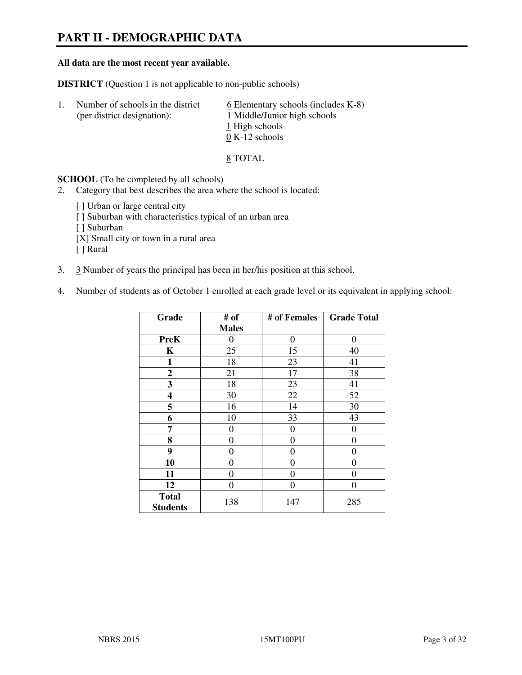## **PART II - DEMOGRAPHIC DATA**

#### **All data are the most recent year available.**

**DISTRICT** (Question 1 is not applicable to non-public schools)

| -1. | Number of schools in the district<br>(per district designation): | $6$ Elementary schools (includes K-8)<br>1 Middle/Junior high schools<br>1 High schools |
|-----|------------------------------------------------------------------|-----------------------------------------------------------------------------------------|
|     |                                                                  | $0 K-12$ schools                                                                        |

8 TOTAL

**SCHOOL** (To be completed by all schools)

2. Category that best describes the area where the school is located:

[ ] Urban or large central city [ ] Suburban with characteristics typical of an urban area [ ] Suburban [X] Small city or town in a rural area [ ] Rural

- 3. 3 Number of years the principal has been in her/his position at this school.
- 4. Number of students as of October 1 enrolled at each grade level or its equivalent in applying school:

| Grade                           | # of         | # of Females     | <b>Grade Total</b> |
|---------------------------------|--------------|------------------|--------------------|
|                                 | <b>Males</b> |                  |                    |
| <b>PreK</b>                     | 0            | $\boldsymbol{0}$ | $\theta$           |
| K                               | 25           | 15               | 40                 |
| 1                               | 18           | 23               | 41                 |
| $\boldsymbol{2}$                | 21           | 17               | 38                 |
| 3                               | 18           | 23               | 41                 |
| 4                               | 30           | 22               | 52                 |
| 5                               | 16           | 14               | 30                 |
| 6                               | 10           | 33               | 43                 |
| 7                               | 0            | $\theta$         | 0                  |
| 8                               | 0            | 0                | 0                  |
| 9                               | 0            | 0                | 0                  |
| 10                              | 0            | 0                | 0                  |
| 11                              | 0            | 0                | 0                  |
| 12                              | 0            | 0                | 0                  |
| <b>Total</b><br><b>Students</b> | 138          | 147              | 285                |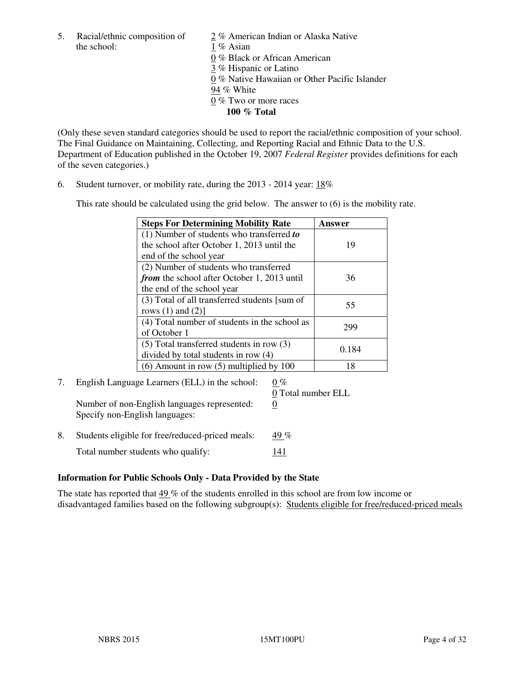5. Racial/ethnic composition of  $\frac{2}{\sqrt{2}}$  % American Indian or Alaska Native the school: 1 % Asian

 0 % Black or African American 3 % Hispanic or Latino 0 % Native Hawaiian or Other Pacific Islander 94 % White 0 % Two or more races **100 % Total** 

(Only these seven standard categories should be used to report the racial/ethnic composition of your school. The Final Guidance on Maintaining, Collecting, and Reporting Racial and Ethnic Data to the U.S. Department of Education published in the October 19, 2007 *Federal Register* provides definitions for each of the seven categories.)

6. Student turnover, or mobility rate, during the 2013 - 2014 year: 18%

This rate should be calculated using the grid below. The answer to (6) is the mobility rate.

| <b>Steps For Determining Mobility Rate</b>    | Answer |
|-----------------------------------------------|--------|
| $(1)$ Number of students who transferred to   |        |
| the school after October 1, 2013 until the    | 19     |
| end of the school year                        |        |
| (2) Number of students who transferred        |        |
| from the school after October 1, 2013 until   | 36     |
| the end of the school year                    |        |
| (3) Total of all transferred students [sum of | 55     |
| rows $(1)$ and $(2)$ ]                        |        |
| (4) Total number of students in the school as | 299    |
| of October 1                                  |        |
| $(5)$ Total transferred students in row $(3)$ | 0.184  |
| divided by total students in row (4)          |        |
| $(6)$ Amount in row $(5)$ multiplied by 100   | 18     |

# 7. English Language Learners (ELL) in the school:  $0\%$

Number of non-English languages represented: 0 Specify non-English languages:

0 Total number ELL

8. Students eligible for free/reduced-priced meals:  $49\%$ Total number students who qualify: 141

#### **Information for Public Schools Only - Data Provided by the State**

The state has reported that  $49\%$  of the students enrolled in this school are from low income or disadvantaged families based on the following subgroup(s): Students eligible for free/reduced-priced meals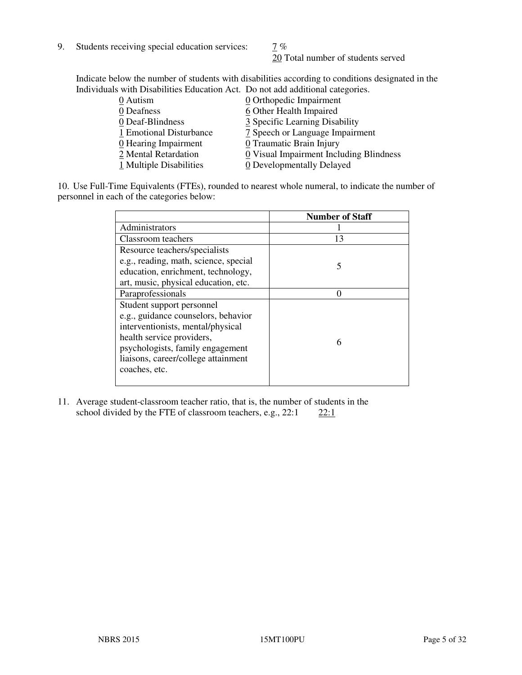9. Students receiving special education services:  $\frac{7}{6}$ 

20 Total number of students served

Indicate below the number of students with disabilities according to conditions designated in the Individuals with Disabilities Education Act. Do not add additional categories.

| 0 Autism                           | 0 Orthopedic Impairment                 |
|------------------------------------|-----------------------------------------|
| 0 Deafness                         | 6 Other Health Impaired                 |
| 0 Deaf-Blindness                   | 3 Specific Learning Disability          |
| 1 Emotional Disturbance            | 7 Speech or Language Impairment         |
| $\underline{0}$ Hearing Impairment | 0 Traumatic Brain Injury                |
| 2 Mental Retardation               | 0 Visual Impairment Including Blindness |
| 1 Multiple Disabilities            | 0 Developmentally Delayed               |
|                                    |                                         |

10. Use Full-Time Equivalents (FTEs), rounded to nearest whole numeral, to indicate the number of personnel in each of the categories below:

|                                       | <b>Number of Staff</b> |
|---------------------------------------|------------------------|
| Administrators                        |                        |
| Classroom teachers                    | 13                     |
| Resource teachers/specialists         |                        |
| e.g., reading, math, science, special | 5                      |
| education, enrichment, technology,    |                        |
| art, music, physical education, etc.  |                        |
| Paraprofessionals                     |                        |
| Student support personnel             |                        |
| e.g., guidance counselors, behavior   |                        |
| interventionists, mental/physical     |                        |
| health service providers,             | 6                      |
| psychologists, family engagement      |                        |
| liaisons, career/college attainment   |                        |
| coaches, etc.                         |                        |
|                                       |                        |

11. Average student-classroom teacher ratio, that is, the number of students in the school divided by the FTE of classroom teachers, e.g.,  $22:1$   $22:1$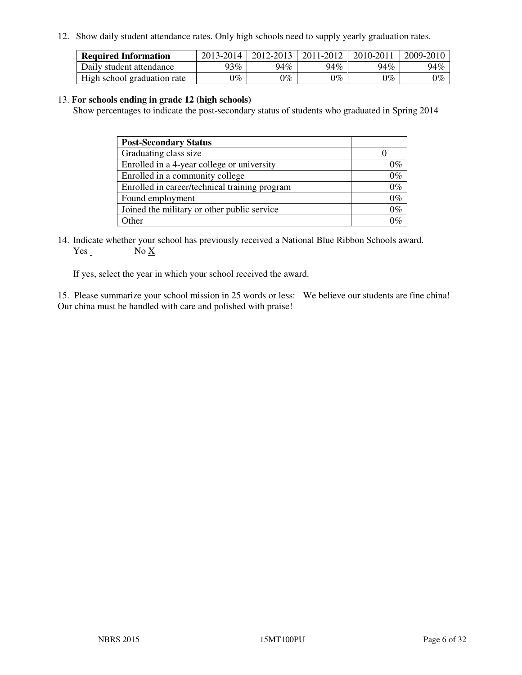12. Show daily student attendance rates. Only high schools need to supply yearly graduation rates.

| <b>Required Information</b> | 2013-2014     | 2012-2013       | 2011-2012 | 2010-2011 | 2009-2010 |
|-----------------------------|---------------|-----------------|-----------|-----------|-----------|
| Daily student attendance    | $93\%$        | 94%             | 94%       | 94%       | 94%       |
| High school graduation rate | $\gamma_{\%}$ | $\mathcal{V}_o$ | $0\%$     | 0%        | 0%        |

#### 13. **For schools ending in grade 12 (high schools)**

Show percentages to indicate the post-secondary status of students who graduated in Spring 2014

| <b>Post-Secondary Status</b>                  |       |
|-----------------------------------------------|-------|
| Graduating class size                         |       |
| Enrolled in a 4-year college or university    | በ‰    |
| Enrolled in a community college               | $0\%$ |
| Enrolled in career/technical training program | $0\%$ |
| Found employment                              | $0\%$ |
| Joined the military or other public service   | 0%    |
| Other                                         |       |

14. Indicate whether your school has previously received a National Blue Ribbon Schools award. Yes No X

If yes, select the year in which your school received the award.

15. Please summarize your school mission in 25 words or less: We believe our students are fine china! Our china must be handled with care and polished with praise!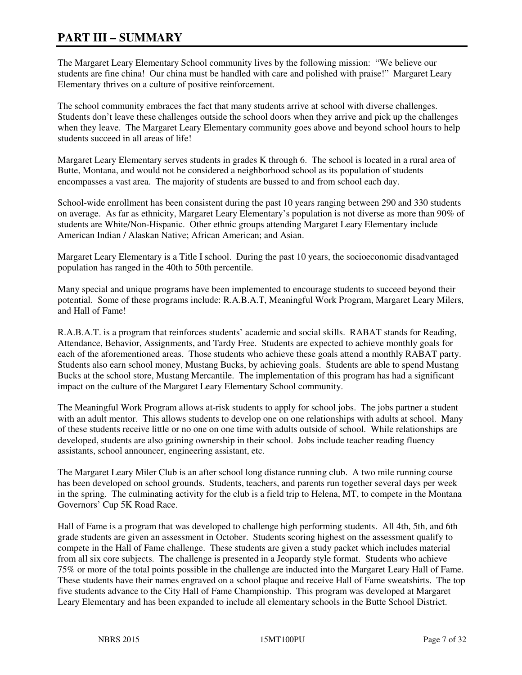### **PART III – SUMMARY**

The Margaret Leary Elementary School community lives by the following mission: "We believe our students are fine china! Our china must be handled with care and polished with praise!" Margaret Leary Elementary thrives on a culture of positive reinforcement.

The school community embraces the fact that many students arrive at school with diverse challenges. Students don't leave these challenges outside the school doors when they arrive and pick up the challenges when they leave. The Margaret Leary Elementary community goes above and beyond school hours to help students succeed in all areas of life!

Margaret Leary Elementary serves students in grades K through 6. The school is located in a rural area of Butte, Montana, and would not be considered a neighborhood school as its population of students encompasses a vast area. The majority of students are bussed to and from school each day.

School-wide enrollment has been consistent during the past 10 years ranging between 290 and 330 students on average. As far as ethnicity, Margaret Leary Elementary's population is not diverse as more than 90% of students are White/Non-Hispanic. Other ethnic groups attending Margaret Leary Elementary include American Indian / Alaskan Native; African American; and Asian.

Margaret Leary Elementary is a Title I school. During the past 10 years, the socioeconomic disadvantaged population has ranged in the 40th to 50th percentile.

Many special and unique programs have been implemented to encourage students to succeed beyond their potential. Some of these programs include: R.A.B.A.T, Meaningful Work Program, Margaret Leary Milers, and Hall of Fame!

R.A.B.A.T. is a program that reinforces students' academic and social skills. RABAT stands for Reading, Attendance, Behavior, Assignments, and Tardy Free. Students are expected to achieve monthly goals for each of the aforementioned areas. Those students who achieve these goals attend a monthly RABAT party. Students also earn school money, Mustang Bucks, by achieving goals. Students are able to spend Mustang Bucks at the school store, Mustang Mercantile. The implementation of this program has had a significant impact on the culture of the Margaret Leary Elementary School community.

The Meaningful Work Program allows at-risk students to apply for school jobs. The jobs partner a student with an adult mentor. This allows students to develop one on one relationships with adults at school. Many of these students receive little or no one on one time with adults outside of school. While relationships are developed, students are also gaining ownership in their school. Jobs include teacher reading fluency assistants, school announcer, engineering assistant, etc.

The Margaret Leary Miler Club is an after school long distance running club. A two mile running course has been developed on school grounds. Students, teachers, and parents run together several days per week in the spring. The culminating activity for the club is a field trip to Helena, MT, to compete in the Montana Governors' Cup 5K Road Race.

Hall of Fame is a program that was developed to challenge high performing students. All 4th, 5th, and 6th grade students are given an assessment in October. Students scoring highest on the assessment qualify to compete in the Hall of Fame challenge. These students are given a study packet which includes material from all six core subjects. The challenge is presented in a Jeopardy style format. Students who achieve 75% or more of the total points possible in the challenge are inducted into the Margaret Leary Hall of Fame. These students have their names engraved on a school plaque and receive Hall of Fame sweatshirts. The top five students advance to the City Hall of Fame Championship. This program was developed at Margaret Leary Elementary and has been expanded to include all elementary schools in the Butte School District.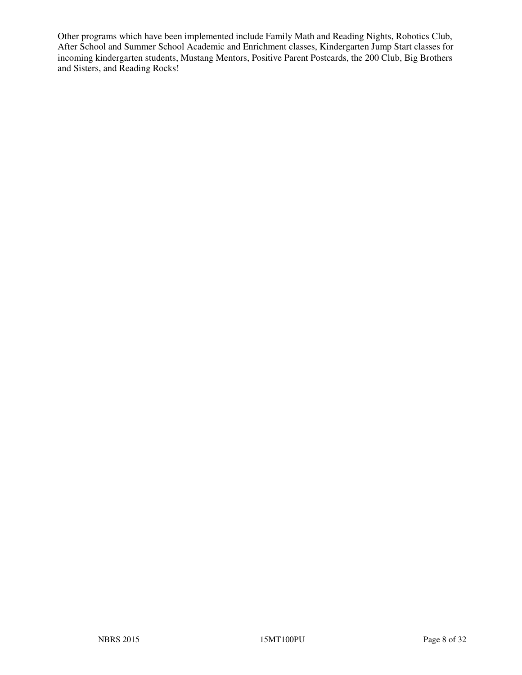Other programs which have been implemented include Family Math and Reading Nights, Robotics Club, After School and Summer School Academic and Enrichment classes, Kindergarten Jump Start classes for incoming kindergarten students, Mustang Mentors, Positive Parent Postcards, the 200 Club, Big Brothers and Sisters, and Reading Rocks!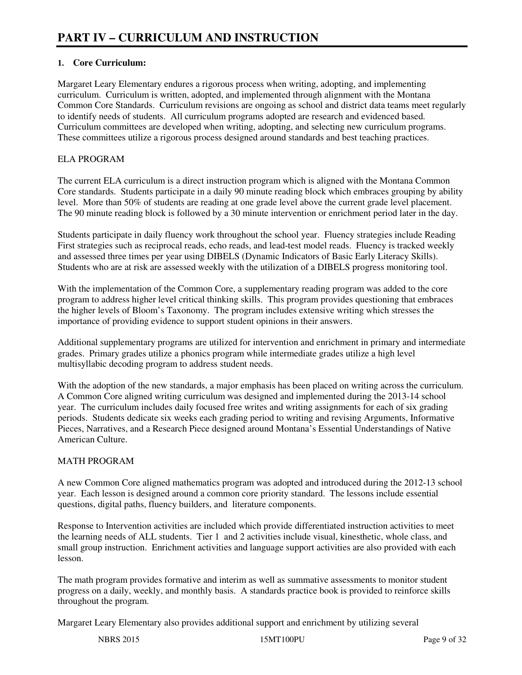#### **1. Core Curriculum:**

Margaret Leary Elementary endures a rigorous process when writing, adopting, and implementing curriculum. Curriculum is written, adopted, and implemented through alignment with the Montana Common Core Standards. Curriculum revisions are ongoing as school and district data teams meet regularly to identify needs of students. All curriculum programs adopted are research and evidenced based. Curriculum committees are developed when writing, adopting, and selecting new curriculum programs. These committees utilize a rigorous process designed around standards and best teaching practices.

#### ELA PROGRAM

The current ELA curriculum is a direct instruction program which is aligned with the Montana Common Core standards. Students participate in a daily 90 minute reading block which embraces grouping by ability level. More than 50% of students are reading at one grade level above the current grade level placement. The 90 minute reading block is followed by a 30 minute intervention or enrichment period later in the day.

Students participate in daily fluency work throughout the school year. Fluency strategies include Reading First strategies such as reciprocal reads, echo reads, and lead-test model reads. Fluency is tracked weekly and assessed three times per year using DIBELS (Dynamic Indicators of Basic Early Literacy Skills). Students who are at risk are assessed weekly with the utilization of a DIBELS progress monitoring tool.

With the implementation of the Common Core, a supplementary reading program was added to the core program to address higher level critical thinking skills. This program provides questioning that embraces the higher levels of Bloom's Taxonomy. The program includes extensive writing which stresses the importance of providing evidence to support student opinions in their answers.

Additional supplementary programs are utilized for intervention and enrichment in primary and intermediate grades. Primary grades utilize a phonics program while intermediate grades utilize a high level multisyllabic decoding program to address student needs.

With the adoption of the new standards, a major emphasis has been placed on writing across the curriculum. A Common Core aligned writing curriculum was designed and implemented during the 2013-14 school year. The curriculum includes daily focused free writes and writing assignments for each of six grading periods. Students dedicate six weeks each grading period to writing and revising Arguments, Informative Pieces, Narratives, and a Research Piece designed around Montana's Essential Understandings of Native American Culture.

#### MATH PROGRAM

A new Common Core aligned mathematics program was adopted and introduced during the 2012-13 school year. Each lesson is designed around a common core priority standard. The lessons include essential questions, digital paths, fluency builders, and literature components.

Response to Intervention activities are included which provide differentiated instruction activities to meet the learning needs of ALL students. Tier 1 and 2 activities include visual, kinesthetic, whole class, and small group instruction. Enrichment activities and language support activities are also provided with each lesson.

The math program provides formative and interim as well as summative assessments to monitor student progress on a daily, weekly, and monthly basis. A standards practice book is provided to reinforce skills throughout the program.

Margaret Leary Elementary also provides additional support and enrichment by utilizing several

NBRS 2015 15MT100PU Page 9 of 32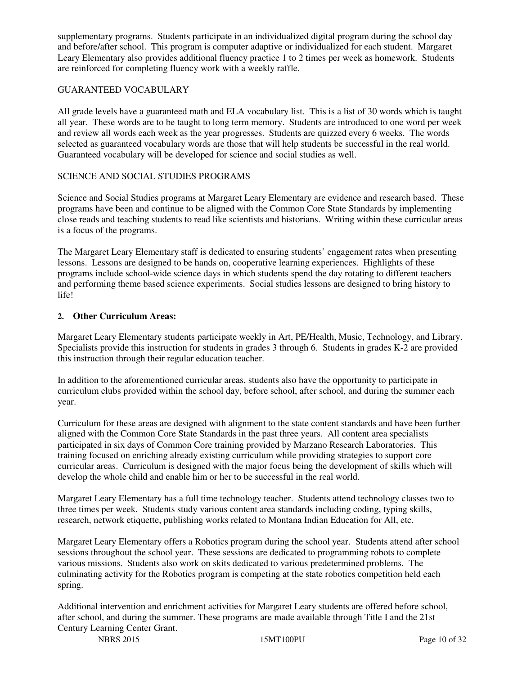supplementary programs. Students participate in an individualized digital program during the school day and before/after school. This program is computer adaptive or individualized for each student. Margaret Leary Elementary also provides additional fluency practice 1 to 2 times per week as homework. Students are reinforced for completing fluency work with a weekly raffle.

#### GUARANTEED VOCABULARY

All grade levels have a guaranteed math and ELA vocabulary list. This is a list of 30 words which is taught all year. These words are to be taught to long term memory. Students are introduced to one word per week and review all words each week as the year progresses. Students are quizzed every 6 weeks. The words selected as guaranteed vocabulary words are those that will help students be successful in the real world. Guaranteed vocabulary will be developed for science and social studies as well.

#### SCIENCE AND SOCIAL STUDIES PROGRAMS

Science and Social Studies programs at Margaret Leary Elementary are evidence and research based. These programs have been and continue to be aligned with the Common Core State Standards by implementing close reads and teaching students to read like scientists and historians. Writing within these curricular areas is a focus of the programs.

The Margaret Leary Elementary staff is dedicated to ensuring students' engagement rates when presenting lessons. Lessons are designed to be hands on, cooperative learning experiences. Highlights of these programs include school-wide science days in which students spend the day rotating to different teachers and performing theme based science experiments. Social studies lessons are designed to bring history to life!

#### **2. Other Curriculum Areas:**

Margaret Leary Elementary students participate weekly in Art, PE/Health, Music, Technology, and Library. Specialists provide this instruction for students in grades 3 through 6. Students in grades K-2 are provided this instruction through their regular education teacher.

In addition to the aforementioned curricular areas, students also have the opportunity to participate in curriculum clubs provided within the school day, before school, after school, and during the summer each year.

Curriculum for these areas are designed with alignment to the state content standards and have been further aligned with the Common Core State Standards in the past three years. All content area specialists participated in six days of Common Core training provided by Marzano Research Laboratories. This training focused on enriching already existing curriculum while providing strategies to support core curricular areas. Curriculum is designed with the major focus being the development of skills which will develop the whole child and enable him or her to be successful in the real world.

Margaret Leary Elementary has a full time technology teacher. Students attend technology classes two to three times per week. Students study various content area standards including coding, typing skills, research, network etiquette, publishing works related to Montana Indian Education for All, etc.

Margaret Leary Elementary offers a Robotics program during the school year. Students attend after school sessions throughout the school year. These sessions are dedicated to programming robots to complete various missions. Students also work on skits dedicated to various predetermined problems. The culminating activity for the Robotics program is competing at the state robotics competition held each spring.

Additional intervention and enrichment activities for Margaret Leary students are offered before school, after school, and during the summer. These programs are made available through Title I and the 21st Century Learning Center Grant.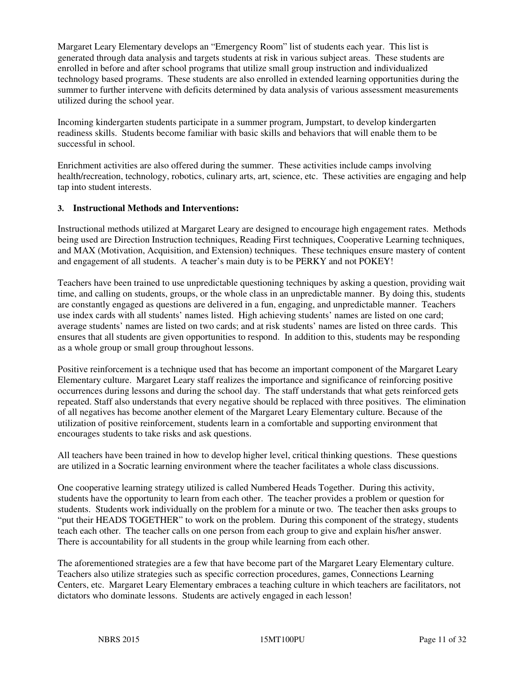Margaret Leary Elementary develops an "Emergency Room" list of students each year. This list is generated through data analysis and targets students at risk in various subject areas. These students are enrolled in before and after school programs that utilize small group instruction and individualized technology based programs. These students are also enrolled in extended learning opportunities during the summer to further intervene with deficits determined by data analysis of various assessment measurements utilized during the school year.

Incoming kindergarten students participate in a summer program, Jumpstart, to develop kindergarten readiness skills. Students become familiar with basic skills and behaviors that will enable them to be successful in school.

Enrichment activities are also offered during the summer. These activities include camps involving health/recreation, technology, robotics, culinary arts, art, science, etc. These activities are engaging and help tap into student interests.

#### **3. Instructional Methods and Interventions:**

Instructional methods utilized at Margaret Leary are designed to encourage high engagement rates. Methods being used are Direction Instruction techniques, Reading First techniques, Cooperative Learning techniques, and MAX (Motivation, Acquisition, and Extension) techniques. These techniques ensure mastery of content and engagement of all students. A teacher's main duty is to be PERKY and not POKEY!

Teachers have been trained to use unpredictable questioning techniques by asking a question, providing wait time, and calling on students, groups, or the whole class in an unpredictable manner. By doing this, students are constantly engaged as questions are delivered in a fun, engaging, and unpredictable manner. Teachers use index cards with all students' names listed. High achieving students' names are listed on one card; average students' names are listed on two cards; and at risk students' names are listed on three cards. This ensures that all students are given opportunities to respond. In addition to this, students may be responding as a whole group or small group throughout lessons.

Positive reinforcement is a technique used that has become an important component of the Margaret Leary Elementary culture. Margaret Leary staff realizes the importance and significance of reinforcing positive occurrences during lessons and during the school day. The staff understands that what gets reinforced gets repeated. Staff also understands that every negative should be replaced with three positives. The elimination of all negatives has become another element of the Margaret Leary Elementary culture. Because of the utilization of positive reinforcement, students learn in a comfortable and supporting environment that encourages students to take risks and ask questions.

All teachers have been trained in how to develop higher level, critical thinking questions. These questions are utilized in a Socratic learning environment where the teacher facilitates a whole class discussions.

One cooperative learning strategy utilized is called Numbered Heads Together. During this activity, students have the opportunity to learn from each other. The teacher provides a problem or question for students. Students work individually on the problem for a minute or two. The teacher then asks groups to "put their HEADS TOGETHER" to work on the problem. During this component of the strategy, students teach each other. The teacher calls on one person from each group to give and explain his/her answer. There is accountability for all students in the group while learning from each other.

The aforementioned strategies are a few that have become part of the Margaret Leary Elementary culture. Teachers also utilize strategies such as specific correction procedures, games, Connections Learning Centers, etc. Margaret Leary Elementary embraces a teaching culture in which teachers are facilitators, not dictators who dominate lessons. Students are actively engaged in each lesson!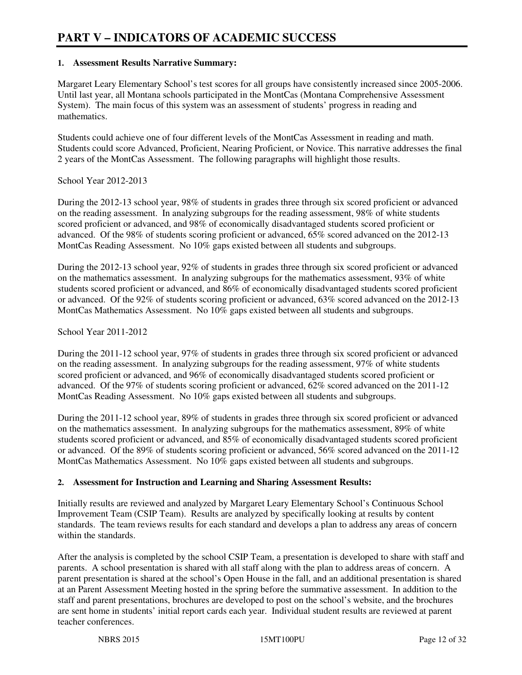#### **1. Assessment Results Narrative Summary:**

Margaret Leary Elementary School's test scores for all groups have consistently increased since 2005-2006. Until last year, all Montana schools participated in the MontCas (Montana Comprehensive Assessment System). The main focus of this system was an assessment of students' progress in reading and mathematics.

Students could achieve one of four different levels of the MontCas Assessment in reading and math. Students could score Advanced, Proficient, Nearing Proficient, or Novice. This narrative addresses the final 2 years of the MontCas Assessment. The following paragraphs will highlight those results.

#### School Year 2012-2013

During the 2012-13 school year, 98% of students in grades three through six scored proficient or advanced on the reading assessment. In analyzing subgroups for the reading assessment, 98% of white students scored proficient or advanced, and 98% of economically disadvantaged students scored proficient or advanced. Of the 98% of students scoring proficient or advanced, 65% scored advanced on the 2012-13 MontCas Reading Assessment. No 10% gaps existed between all students and subgroups.

During the 2012-13 school year, 92% of students in grades three through six scored proficient or advanced on the mathematics assessment. In analyzing subgroups for the mathematics assessment, 93% of white students scored proficient or advanced, and 86% of economically disadvantaged students scored proficient or advanced. Of the 92% of students scoring proficient or advanced, 63% scored advanced on the 2012-13 MontCas Mathematics Assessment. No 10% gaps existed between all students and subgroups.

#### School Year 2011-2012

During the 2011-12 school year, 97% of students in grades three through six scored proficient or advanced on the reading assessment. In analyzing subgroups for the reading assessment, 97% of white students scored proficient or advanced, and 96% of economically disadvantaged students scored proficient or advanced. Of the 97% of students scoring proficient or advanced, 62% scored advanced on the 2011-12 MontCas Reading Assessment. No 10% gaps existed between all students and subgroups.

During the 2011-12 school year, 89% of students in grades three through six scored proficient or advanced on the mathematics assessment. In analyzing subgroups for the mathematics assessment, 89% of white students scored proficient or advanced, and 85% of economically disadvantaged students scored proficient or advanced. Of the 89% of students scoring proficient or advanced, 56% scored advanced on the 2011-12 MontCas Mathematics Assessment. No 10% gaps existed between all students and subgroups.

#### **2. Assessment for Instruction and Learning and Sharing Assessment Results:**

Initially results are reviewed and analyzed by Margaret Leary Elementary School's Continuous School Improvement Team (CSIP Team). Results are analyzed by specifically looking at results by content standards. The team reviews results for each standard and develops a plan to address any areas of concern within the standards.

After the analysis is completed by the school CSIP Team, a presentation is developed to share with staff and parents. A school presentation is shared with all staff along with the plan to address areas of concern. A parent presentation is shared at the school's Open House in the fall, and an additional presentation is shared at an Parent Assessment Meeting hosted in the spring before the summative assessment. In addition to the staff and parent presentations, brochures are developed to post on the school's website, and the brochures are sent home in students' initial report cards each year. Individual student results are reviewed at parent teacher conferences.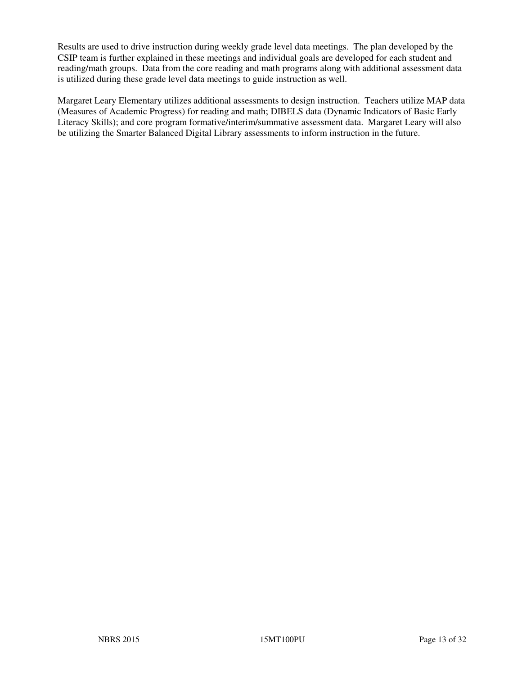Results are used to drive instruction during weekly grade level data meetings. The plan developed by the CSIP team is further explained in these meetings and individual goals are developed for each student and reading/math groups. Data from the core reading and math programs along with additional assessment data is utilized during these grade level data meetings to guide instruction as well.

Margaret Leary Elementary utilizes additional assessments to design instruction. Teachers utilize MAP data (Measures of Academic Progress) for reading and math; DIBELS data (Dynamic Indicators of Basic Early Literacy Skills); and core program formative/interim/summative assessment data. Margaret Leary will also be utilizing the Smarter Balanced Digital Library assessments to inform instruction in the future.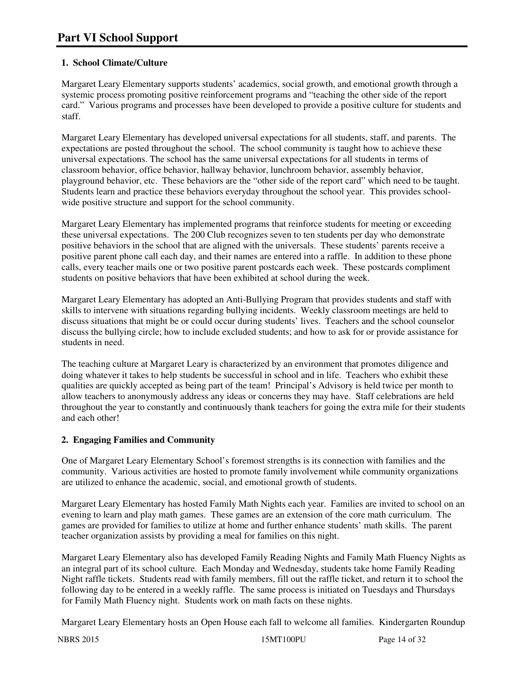#### **1. School Climate/Culture**

Margaret Leary Elementary supports students' academics, social growth, and emotional growth through a systemic process promoting positive reinforcement programs and "teaching the other side of the report card." Various programs and processes have been developed to provide a positive culture for students and staff.

Margaret Leary Elementary has developed universal expectations for all students, staff, and parents. The expectations are posted throughout the school. The school community is taught how to achieve these universal expectations. The school has the same universal expectations for all students in terms of classroom behavior, office behavior, hallway behavior, lunchroom behavior, assembly behavior, playground behavior, etc. These behaviors are the "other side of the report card" which need to be taught. Students learn and practice these behaviors everyday throughout the school year. This provides schoolwide positive structure and support for the school community.

Margaret Leary Elementary has implemented programs that reinforce students for meeting or exceeding these universal expectations. The 200 Club recognizes seven to ten students per day who demonstrate positive behaviors in the school that are aligned with the universals. These students' parents receive a positive parent phone call each day, and their names are entered into a raffle. In addition to these phone calls, every teacher mails one or two positive parent postcards each week. These postcards compliment students on positive behaviors that have been exhibited at school during the week.

Margaret Leary Elementary has adopted an Anti-Bullying Program that provides students and staff with skills to intervene with situations regarding bullying incidents. Weekly classroom meetings are held to discuss situations that might be or could occur during students' lives. Teachers and the school counselor discuss the bullying circle; how to include excluded students; and how to ask for or provide assistance for students in need.

The teaching culture at Margaret Leary is characterized by an environment that promotes diligence and doing whatever it takes to help students be successful in school and in life. Teachers who exhibit these qualities are quickly accepted as being part of the team! Principal's Advisory is held twice per month to allow teachers to anonymously address any ideas or concerns they may have. Staff celebrations are held throughout the year to constantly and continuously thank teachers for going the extra mile for their students and each other!

#### **2. Engaging Families and Community**

One of Margaret Leary Elementary School's foremost strengths is its connection with families and the community. Various activities are hosted to promote family involvement while community organizations are utilized to enhance the academic, social, and emotional growth of students.

Margaret Leary Elementary has hosted Family Math Nights each year. Families are invited to school on an evening to learn and play math games. These games are an extension of the core math curriculum. The games are provided for families to utilize at home and further enhance students' math skills. The parent teacher organization assists by providing a meal for families on this night.

Margaret Leary Elementary also has developed Family Reading Nights and Family Math Fluency Nights as an integral part of its school culture. Each Monday and Wednesday, students take home Family Reading Night raffle tickets. Students read with family members, fill out the raffle ticket, and return it to school the following day to be entered in a weekly raffle. The same process is initiated on Tuesdays and Thursdays for Family Math Fluency night. Students work on math facts on these nights.

Margaret Leary Elementary hosts an Open House each fall to welcome all families. Kindergarten Roundup

NBRS 2015 2015 15MT100PU Page 14 of 32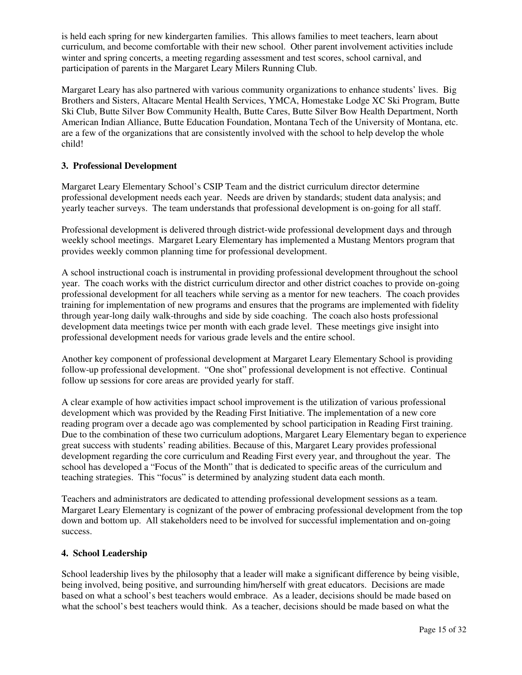is held each spring for new kindergarten families. This allows families to meet teachers, learn about curriculum, and become comfortable with their new school. Other parent involvement activities include winter and spring concerts, a meeting regarding assessment and test scores, school carnival, and participation of parents in the Margaret Leary Milers Running Club.

Margaret Leary has also partnered with various community organizations to enhance students' lives. Big Brothers and Sisters, Altacare Mental Health Services, YMCA, Homestake Lodge XC Ski Program, Butte Ski Club, Butte Silver Bow Community Health, Butte Cares, Butte Silver Bow Health Department, North American Indian Alliance, Butte Education Foundation, Montana Tech of the University of Montana, etc. are a few of the organizations that are consistently involved with the school to help develop the whole child!

#### **3. Professional Development**

Margaret Leary Elementary School's CSIP Team and the district curriculum director determine professional development needs each year. Needs are driven by standards; student data analysis; and yearly teacher surveys. The team understands that professional development is on-going for all staff.

Professional development is delivered through district-wide professional development days and through weekly school meetings. Margaret Leary Elementary has implemented a Mustang Mentors program that provides weekly common planning time for professional development.

A school instructional coach is instrumental in providing professional development throughout the school year. The coach works with the district curriculum director and other district coaches to provide on-going professional development for all teachers while serving as a mentor for new teachers. The coach provides training for implementation of new programs and ensures that the programs are implemented with fidelity through year-long daily walk-throughs and side by side coaching. The coach also hosts professional development data meetings twice per month with each grade level. These meetings give insight into professional development needs for various grade levels and the entire school.

Another key component of professional development at Margaret Leary Elementary School is providing follow-up professional development. "One shot" professional development is not effective. Continual follow up sessions for core areas are provided yearly for staff.

A clear example of how activities impact school improvement is the utilization of various professional development which was provided by the Reading First Initiative. The implementation of a new core reading program over a decade ago was complemented by school participation in Reading First training. Due to the combination of these two curriculum adoptions, Margaret Leary Elementary began to experience great success with students' reading abilities. Because of this, Margaret Leary provides professional development regarding the core curriculum and Reading First every year, and throughout the year. The school has developed a "Focus of the Month" that is dedicated to specific areas of the curriculum and teaching strategies. This "focus" is determined by analyzing student data each month.

Teachers and administrators are dedicated to attending professional development sessions as a team. Margaret Leary Elementary is cognizant of the power of embracing professional development from the top down and bottom up. All stakeholders need to be involved for successful implementation and on-going success.

#### **4. School Leadership**

School leadership lives by the philosophy that a leader will make a significant difference by being visible, being involved, being positive, and surrounding him/herself with great educators. Decisions are made based on what a school's best teachers would embrace. As a leader, decisions should be made based on what the school's best teachers would think. As a teacher, decisions should be made based on what the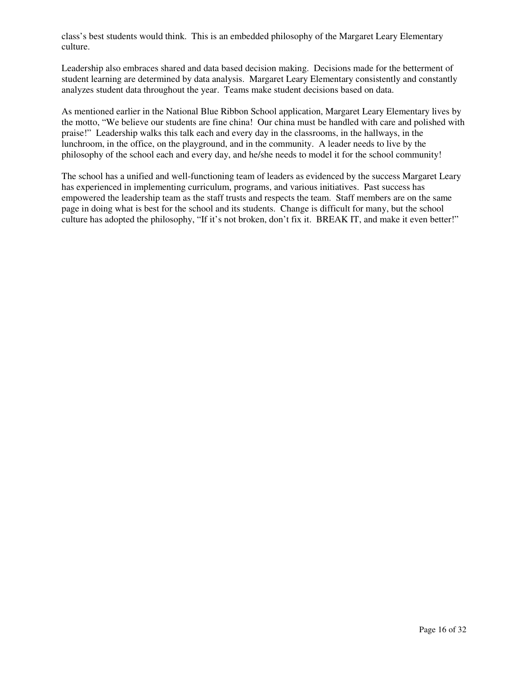class's best students would think. This is an embedded philosophy of the Margaret Leary Elementary culture.

Leadership also embraces shared and data based decision making. Decisions made for the betterment of student learning are determined by data analysis. Margaret Leary Elementary consistently and constantly analyzes student data throughout the year. Teams make student decisions based on data.

As mentioned earlier in the National Blue Ribbon School application, Margaret Leary Elementary lives by the motto, "We believe our students are fine china! Our china must be handled with care and polished with praise!" Leadership walks this talk each and every day in the classrooms, in the hallways, in the lunchroom, in the office, on the playground, and in the community. A leader needs to live by the philosophy of the school each and every day, and he/she needs to model it for the school community!

The school has a unified and well-functioning team of leaders as evidenced by the success Margaret Leary has experienced in implementing curriculum, programs, and various initiatives. Past success has empowered the leadership team as the staff trusts and respects the team. Staff members are on the same page in doing what is best for the school and its students. Change is difficult for many, but the school culture has adopted the philosophy, "If it's not broken, don't fix it. BREAK IT, and make it even better!"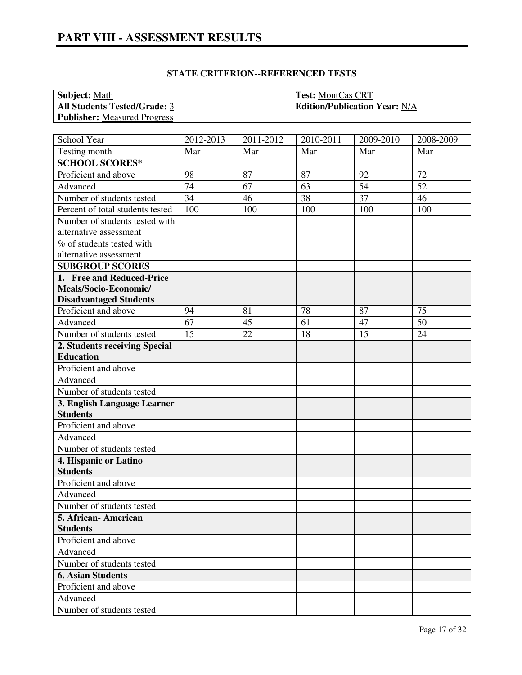| <b>Subject:</b> Math                | <b>Test: MontCas CRT</b>             |
|-------------------------------------|--------------------------------------|
| <b>All Students Tested/Grade: 3</b> | <b>Edition/Publication Year: N/A</b> |
| <b>Publisher:</b> Measured Progress |                                      |

| School Year                                      | $2012 - 2013$   | 2011-2012 | 2010-2011 | 2009-2010       | 2008-2009 |
|--------------------------------------------------|-----------------|-----------|-----------|-----------------|-----------|
| Testing month                                    | Mar             | Mar       | Mar       | Mar             | Mar       |
| <b>SCHOOL SCORES*</b>                            |                 |           |           |                 |           |
| Proficient and above                             | 98              | 87        | 87        | 92              | 72        |
| Advanced                                         | $\overline{74}$ | 67        | 63        | $\overline{54}$ | 52        |
| Number of students tested                        | 34              | 46        | 38        | 37              | 46        |
| Percent of total students tested                 | 100             | 100       | 100       | 100             | 100       |
| Number of students tested with                   |                 |           |           |                 |           |
| alternative assessment                           |                 |           |           |                 |           |
| % of students tested with                        |                 |           |           |                 |           |
| alternative assessment                           |                 |           |           |                 |           |
| <b>SUBGROUP SCORES</b>                           |                 |           |           |                 |           |
| 1. Free and Reduced-Price                        |                 |           |           |                 |           |
| Meals/Socio-Economic/                            |                 |           |           |                 |           |
| <b>Disadvantaged Students</b>                    |                 |           |           |                 |           |
| Proficient and above                             | 94              | 81        | 78        | 87              | 75        |
| Advanced                                         | 67              | 45        | 61        | 47              | 50        |
| Number of students tested                        | 15              | 22        | 18        | 15              | 24        |
| 2. Students receiving Special                    |                 |           |           |                 |           |
| <b>Education</b>                                 |                 |           |           |                 |           |
| Proficient and above                             |                 |           |           |                 |           |
| Advanced                                         |                 |           |           |                 |           |
| Number of students tested                        |                 |           |           |                 |           |
| 3. English Language Learner                      |                 |           |           |                 |           |
| <b>Students</b>                                  |                 |           |           |                 |           |
| Proficient and above                             |                 |           |           |                 |           |
| Advanced                                         |                 |           |           |                 |           |
| Number of students tested                        |                 |           |           |                 |           |
| 4. Hispanic or Latino                            |                 |           |           |                 |           |
| <b>Students</b>                                  |                 |           |           |                 |           |
| Proficient and above                             |                 |           |           |                 |           |
| Advanced                                         |                 |           |           |                 |           |
| Number of students tested                        |                 |           |           |                 |           |
| 5. African-American<br><b>Students</b>           |                 |           |           |                 |           |
| Proficient and above                             |                 |           |           |                 |           |
| Advanced                                         |                 |           |           |                 |           |
| Number of students tested                        |                 |           |           |                 |           |
|                                                  |                 |           |           |                 |           |
| <b>6. Asian Students</b><br>Proficient and above |                 |           |           |                 |           |
| Advanced                                         |                 |           |           |                 |           |
| Number of students tested                        |                 |           |           |                 |           |
|                                                  |                 |           |           |                 |           |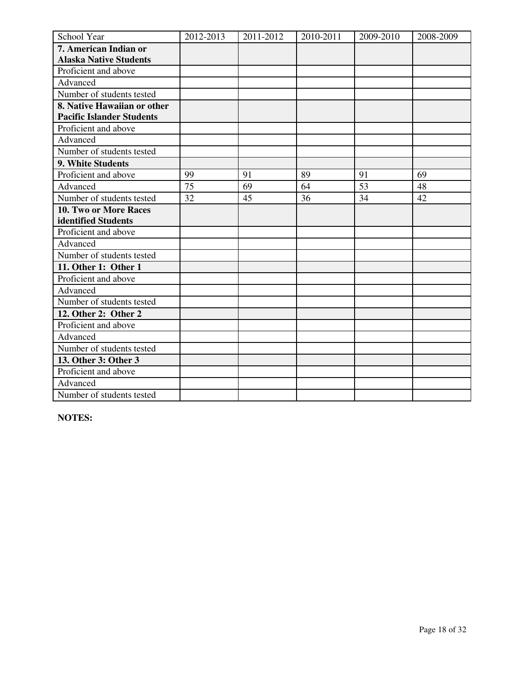| School Year                      | 2012-2013 | 2011-2012 | 2010-2011 | 2009-2010 | 2008-2009 |
|----------------------------------|-----------|-----------|-----------|-----------|-----------|
| 7. American Indian or            |           |           |           |           |           |
| <b>Alaska Native Students</b>    |           |           |           |           |           |
| Proficient and above             |           |           |           |           |           |
| Advanced                         |           |           |           |           |           |
| Number of students tested        |           |           |           |           |           |
| 8. Native Hawaiian or other      |           |           |           |           |           |
| <b>Pacific Islander Students</b> |           |           |           |           |           |
| Proficient and above             |           |           |           |           |           |
| Advanced                         |           |           |           |           |           |
| Number of students tested        |           |           |           |           |           |
| 9. White Students                |           |           |           |           |           |
| Proficient and above             | 99        | 91        | 89        | 91        | 69        |
| Advanced                         | 75        | 69        | 64        | 53        | 48        |
| Number of students tested        | 32        | 45        | 36        | 34        | 42        |
| 10. Two or More Races            |           |           |           |           |           |
| identified Students              |           |           |           |           |           |
| Proficient and above             |           |           |           |           |           |
| Advanced                         |           |           |           |           |           |
| Number of students tested        |           |           |           |           |           |
| 11. Other 1: Other 1             |           |           |           |           |           |
| Proficient and above             |           |           |           |           |           |
| Advanced                         |           |           |           |           |           |
| Number of students tested        |           |           |           |           |           |
| 12. Other 2: Other 2             |           |           |           |           |           |
| Proficient and above             |           |           |           |           |           |
| Advanced                         |           |           |           |           |           |
| Number of students tested        |           |           |           |           |           |
| 13. Other 3: Other 3             |           |           |           |           |           |
| Proficient and above             |           |           |           |           |           |
| Advanced                         |           |           |           |           |           |
| Number of students tested        |           |           |           |           |           |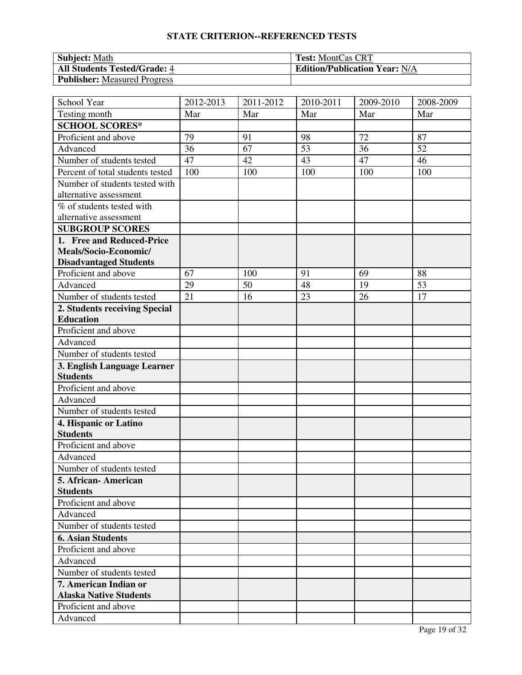| <b>Subject: Math</b>                | <b>Test: MontCas CRT</b>             |
|-------------------------------------|--------------------------------------|
| <b>All Students Tested/Grade: 4</b> | <b>Edition/Publication Year: N/A</b> |
| Publisher: Measured Progress        |                                      |

| School Year                      | 2012-2013 | 2011-2012 | 2010-2011 | 2009-2010 | 2008-2009 |
|----------------------------------|-----------|-----------|-----------|-----------|-----------|
| Testing month                    | Mar       | Mar       | Mar       | Mar       | Mar       |
| <b>SCHOOL SCORES*</b>            |           |           |           |           |           |
| Proficient and above             | 79        | 91        | 98        | 72        | 87        |
| Advanced                         | 36        | 67        | 53        | 36        | 52        |
| Number of students tested        | 47        | 42        | 43        | 47        | 46        |
| Percent of total students tested | 100       | 100       | 100       | 100       | 100       |
| Number of students tested with   |           |           |           |           |           |
| alternative assessment           |           |           |           |           |           |
| % of students tested with        |           |           |           |           |           |
| alternative assessment           |           |           |           |           |           |
| <b>SUBGROUP SCORES</b>           |           |           |           |           |           |
| 1. Free and Reduced-Price        |           |           |           |           |           |
| Meals/Socio-Economic/            |           |           |           |           |           |
| <b>Disadvantaged Students</b>    |           |           |           |           |           |
| Proficient and above             | 67        | 100       | 91        | 69        | 88        |
| Advanced                         | 29        | 50        | 48        | 19        | 53        |
| Number of students tested        | 21        | 16        | 23        | 26        | 17        |
| 2. Students receiving Special    |           |           |           |           |           |
| <b>Education</b>                 |           |           |           |           |           |
| Proficient and above             |           |           |           |           |           |
| Advanced                         |           |           |           |           |           |
| Number of students tested        |           |           |           |           |           |
| 3. English Language Learner      |           |           |           |           |           |
| <b>Students</b>                  |           |           |           |           |           |
| Proficient and above             |           |           |           |           |           |
| Advanced                         |           |           |           |           |           |
| Number of students tested        |           |           |           |           |           |
| 4. Hispanic or Latino            |           |           |           |           |           |
| <b>Students</b>                  |           |           |           |           |           |
| Proficient and above             |           |           |           |           |           |
| Advanced                         |           |           |           |           |           |
| Number of students tested        |           |           |           |           |           |
| 5. African- American             |           |           |           |           |           |
| <b>Students</b>                  |           |           |           |           |           |
| Proficient and above             |           |           |           |           |           |
| Advanced                         |           |           |           |           |           |
| Number of students tested        |           |           |           |           |           |
| <b>6. Asian Students</b>         |           |           |           |           |           |
| Proficient and above             |           |           |           |           |           |
| Advanced                         |           |           |           |           |           |
| Number of students tested        |           |           |           |           |           |
| 7. American Indian or            |           |           |           |           |           |
| <b>Alaska Native Students</b>    |           |           |           |           |           |
| Proficient and above             |           |           |           |           |           |
| Advanced                         |           |           |           |           |           |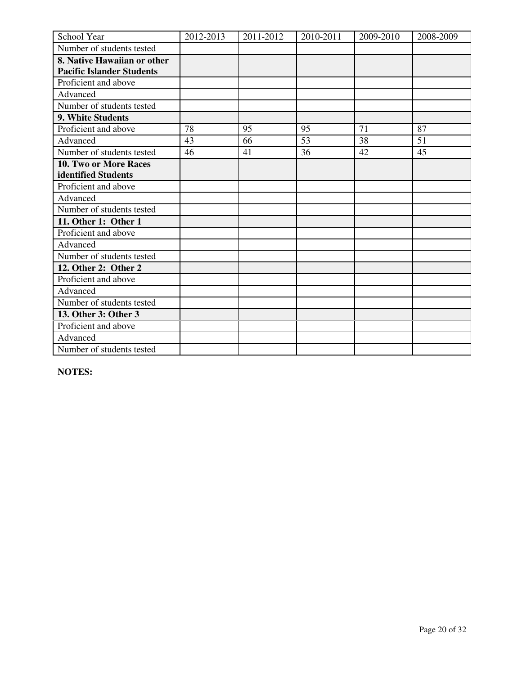| School Year                      | 2012-2013 | 2011-2012 | 2010-2011 | 2009-2010 | 2008-2009 |
|----------------------------------|-----------|-----------|-----------|-----------|-----------|
| Number of students tested        |           |           |           |           |           |
| 8. Native Hawaiian or other      |           |           |           |           |           |
| <b>Pacific Islander Students</b> |           |           |           |           |           |
| Proficient and above             |           |           |           |           |           |
| Advanced                         |           |           |           |           |           |
| Number of students tested        |           |           |           |           |           |
| 9. White Students                |           |           |           |           |           |
| Proficient and above             | 78        | 95        | 95        | 71        | 87        |
| Advanced                         | 43        | 66        | 53        | 38        | 51        |
| Number of students tested        | 46        | 41        | 36        | 42        | 45        |
| 10. Two or More Races            |           |           |           |           |           |
| identified Students              |           |           |           |           |           |
| Proficient and above             |           |           |           |           |           |
| Advanced                         |           |           |           |           |           |
| Number of students tested        |           |           |           |           |           |
| 11. Other 1: Other 1             |           |           |           |           |           |
| Proficient and above             |           |           |           |           |           |
| Advanced                         |           |           |           |           |           |
| Number of students tested        |           |           |           |           |           |
| 12. Other 2: Other 2             |           |           |           |           |           |
| Proficient and above             |           |           |           |           |           |
| Advanced                         |           |           |           |           |           |
| Number of students tested        |           |           |           |           |           |
| 13. Other 3: Other 3             |           |           |           |           |           |
| Proficient and above             |           |           |           |           |           |
| Advanced                         |           |           |           |           |           |
| Number of students tested        |           |           |           |           |           |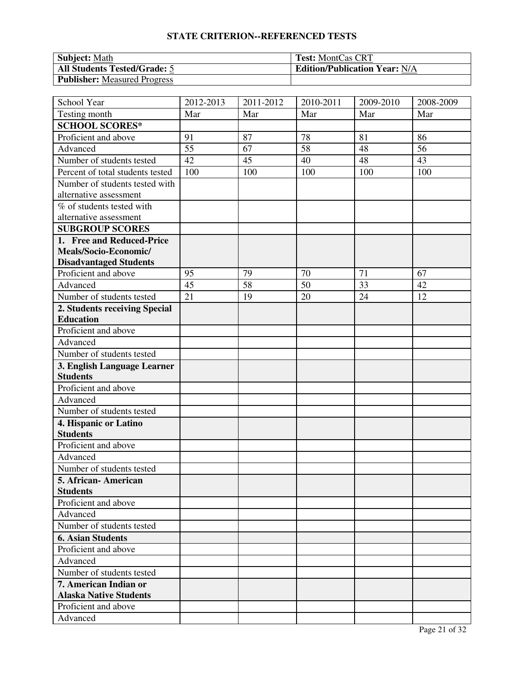| <b>Subject: Math</b>                | <b>Test: MontCas CRT</b>             |
|-------------------------------------|--------------------------------------|
| <b>All Students Tested/Grade: 5</b> | <b>Edition/Publication Year: N/A</b> |
| <b>Publisher:</b> Measured Progress |                                      |

| School Year                      | 2012-2013 | 2011-2012 | 2010-2011 | 2009-2010 | 2008-2009 |
|----------------------------------|-----------|-----------|-----------|-----------|-----------|
| Testing month                    | Mar       | Mar       | Mar       | Mar       | Mar       |
| <b>SCHOOL SCORES*</b>            |           |           |           |           |           |
| Proficient and above             | 91        | 87        | 78        | 81        | 86        |
| Advanced                         | 55        | 67        | 58        | 48        | 56        |
| Number of students tested        | 42        | 45        | 40        | 48        | 43        |
| Percent of total students tested | 100       | 100       | 100       | 100       | 100       |
| Number of students tested with   |           |           |           |           |           |
| alternative assessment           |           |           |           |           |           |
| % of students tested with        |           |           |           |           |           |
| alternative assessment           |           |           |           |           |           |
| <b>SUBGROUP SCORES</b>           |           |           |           |           |           |
| 1. Free and Reduced-Price        |           |           |           |           |           |
| Meals/Socio-Economic/            |           |           |           |           |           |
| <b>Disadvantaged Students</b>    |           |           |           |           |           |
| Proficient and above             | 95        | 79        | 70        | 71        | 67        |
| Advanced                         | 45        | 58        | 50        | 33        | 42        |
| Number of students tested        | 21        | 19        | 20        | 24        | 12        |
| 2. Students receiving Special    |           |           |           |           |           |
| <b>Education</b>                 |           |           |           |           |           |
| Proficient and above             |           |           |           |           |           |
| Advanced                         |           |           |           |           |           |
| Number of students tested        |           |           |           |           |           |
| 3. English Language Learner      |           |           |           |           |           |
| <b>Students</b>                  |           |           |           |           |           |
| Proficient and above             |           |           |           |           |           |
| Advanced                         |           |           |           |           |           |
| Number of students tested        |           |           |           |           |           |
| 4. Hispanic or Latino            |           |           |           |           |           |
| <b>Students</b>                  |           |           |           |           |           |
| Proficient and above             |           |           |           |           |           |
| Advanced                         |           |           |           |           |           |
| Number of students tested        |           |           |           |           |           |
| 5. African-American              |           |           |           |           |           |
| <b>Students</b>                  |           |           |           |           |           |
| Proficient and above             |           |           |           |           |           |
| Advanced                         |           |           |           |           |           |
| Number of students tested        |           |           |           |           |           |
| <b>6. Asian Students</b>         |           |           |           |           |           |
| Proficient and above             |           |           |           |           |           |
| Advanced                         |           |           |           |           |           |
| Number of students tested        |           |           |           |           |           |
| 7. American Indian or            |           |           |           |           |           |
| <b>Alaska Native Students</b>    |           |           |           |           |           |
| Proficient and above             |           |           |           |           |           |
| Advanced                         |           |           |           |           |           |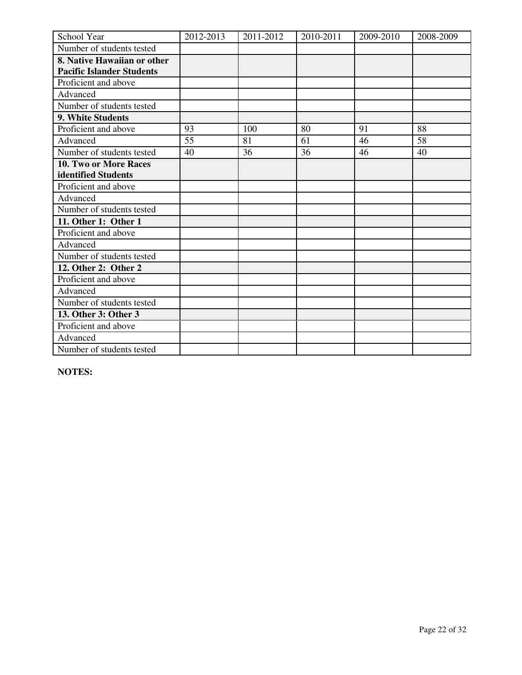| School Year                      | 2012-2013 | 2011-2012 | 2010-2011 | 2009-2010 | 2008-2009 |
|----------------------------------|-----------|-----------|-----------|-----------|-----------|
| Number of students tested        |           |           |           |           |           |
| 8. Native Hawaiian or other      |           |           |           |           |           |
| <b>Pacific Islander Students</b> |           |           |           |           |           |
| Proficient and above             |           |           |           |           |           |
| Advanced                         |           |           |           |           |           |
| Number of students tested        |           |           |           |           |           |
| 9. White Students                |           |           |           |           |           |
| Proficient and above             | 93        | 100       | 80        | 91        | 88        |
| Advanced                         | 55        | 81        | 61        | 46        | 58        |
| Number of students tested        | 40        | 36        | 36        | 46        | 40        |
| 10. Two or More Races            |           |           |           |           |           |
| identified Students              |           |           |           |           |           |
| Proficient and above             |           |           |           |           |           |
| Advanced                         |           |           |           |           |           |
| Number of students tested        |           |           |           |           |           |
| 11. Other 1: Other 1             |           |           |           |           |           |
| Proficient and above             |           |           |           |           |           |
| Advanced                         |           |           |           |           |           |
| Number of students tested        |           |           |           |           |           |
| 12. Other 2: Other 2             |           |           |           |           |           |
| Proficient and above             |           |           |           |           |           |
| Advanced                         |           |           |           |           |           |
| Number of students tested        |           |           |           |           |           |
| 13. Other 3: Other 3             |           |           |           |           |           |
| Proficient and above             |           |           |           |           |           |
| Advanced                         |           |           |           |           |           |
| Number of students tested        |           |           |           |           |           |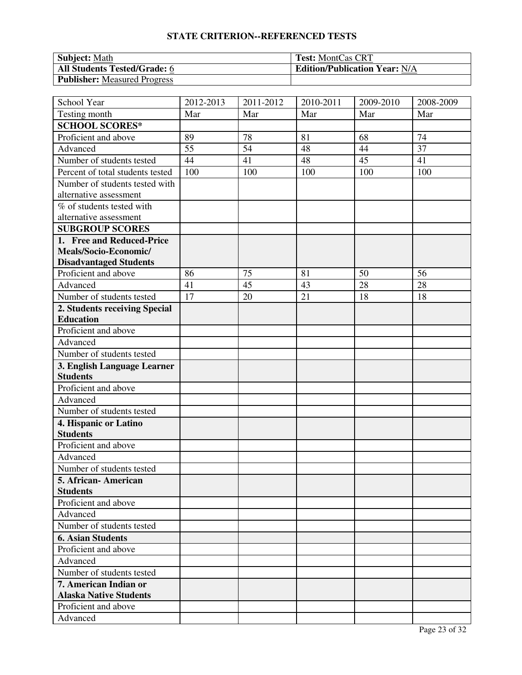| <b>Subject: Math</b>                | <b>Test: MontCas CRT</b>             |
|-------------------------------------|--------------------------------------|
| <b>All Students Tested/Grade: 6</b> | <b>Edition/Publication Year: N/A</b> |
| <b>Publisher:</b> Measured Progress |                                      |

| School Year                      | 2012-2013 | 2011-2012 | 2010-2011 | 2009-2010 | 2008-2009 |
|----------------------------------|-----------|-----------|-----------|-----------|-----------|
| Testing month                    | Mar       | Mar       | Mar       | Mar       | Mar       |
| <b>SCHOOL SCORES*</b>            |           |           |           |           |           |
| Proficient and above             | 89        | 78        | 81        | 68        | 74        |
| Advanced                         | 55        | 54        | 48        | 44        | 37        |
| Number of students tested        | 44        | 41        | 48        | 45        | 41        |
| Percent of total students tested | 100       | 100       | 100       | 100       | 100       |
| Number of students tested with   |           |           |           |           |           |
| alternative assessment           |           |           |           |           |           |
| % of students tested with        |           |           |           |           |           |
| alternative assessment           |           |           |           |           |           |
| <b>SUBGROUP SCORES</b>           |           |           |           |           |           |
| 1. Free and Reduced-Price        |           |           |           |           |           |
| Meals/Socio-Economic/            |           |           |           |           |           |
| <b>Disadvantaged Students</b>    |           |           |           |           |           |
| Proficient and above             | 86        | 75        | 81        | 50        | 56        |
| Advanced                         | 41        | 45        | 43        | 28        | 28        |
| Number of students tested        | 17        | 20        | 21        | 18        | 18        |
| 2. Students receiving Special    |           |           |           |           |           |
| <b>Education</b>                 |           |           |           |           |           |
| Proficient and above             |           |           |           |           |           |
| Advanced                         |           |           |           |           |           |
| Number of students tested        |           |           |           |           |           |
| 3. English Language Learner      |           |           |           |           |           |
| <b>Students</b>                  |           |           |           |           |           |
| Proficient and above             |           |           |           |           |           |
| Advanced                         |           |           |           |           |           |
| Number of students tested        |           |           |           |           |           |
| 4. Hispanic or Latino            |           |           |           |           |           |
| <b>Students</b>                  |           |           |           |           |           |
| Proficient and above             |           |           |           |           |           |
| Advanced                         |           |           |           |           |           |
| Number of students tested        |           |           |           |           |           |
| 5. African-American              |           |           |           |           |           |
| <b>Students</b>                  |           |           |           |           |           |
| Proficient and above             |           |           |           |           |           |
| Advanced                         |           |           |           |           |           |
| Number of students tested        |           |           |           |           |           |
| <b>6. Asian Students</b>         |           |           |           |           |           |
| Proficient and above             |           |           |           |           |           |
| Advanced                         |           |           |           |           |           |
| Number of students tested        |           |           |           |           |           |
| 7. American Indian or            |           |           |           |           |           |
| <b>Alaska Native Students</b>    |           |           |           |           |           |
| Proficient and above             |           |           |           |           |           |
| Advanced                         |           |           |           |           |           |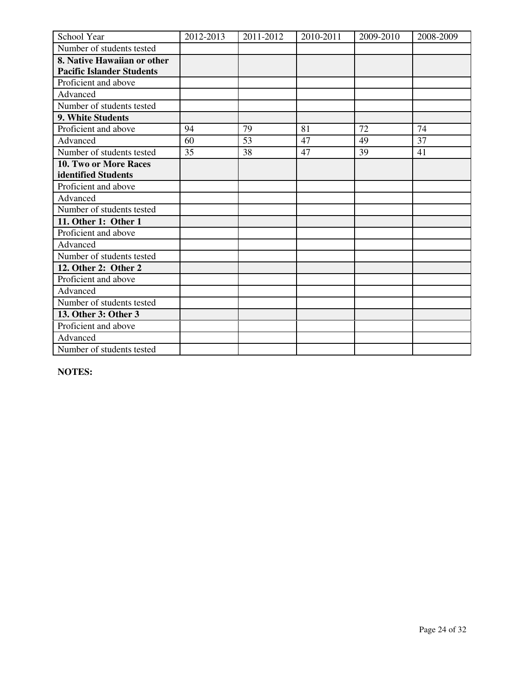| School Year                      | 2012-2013 | 2011-2012 | 2010-2011 | 2009-2010 | 2008-2009 |
|----------------------------------|-----------|-----------|-----------|-----------|-----------|
| Number of students tested        |           |           |           |           |           |
| 8. Native Hawaiian or other      |           |           |           |           |           |
| <b>Pacific Islander Students</b> |           |           |           |           |           |
| Proficient and above             |           |           |           |           |           |
| Advanced                         |           |           |           |           |           |
| Number of students tested        |           |           |           |           |           |
| 9. White Students                |           |           |           |           |           |
| Proficient and above             | 94        | 79        | 81        | 72        | 74        |
| Advanced                         | 60        | 53        | 47        | 49        | 37        |
| Number of students tested        | 35        | 38        | 47        | 39        | 41        |
| 10. Two or More Races            |           |           |           |           |           |
| identified Students              |           |           |           |           |           |
| Proficient and above             |           |           |           |           |           |
| Advanced                         |           |           |           |           |           |
| Number of students tested        |           |           |           |           |           |
| 11. Other 1: Other 1             |           |           |           |           |           |
| Proficient and above             |           |           |           |           |           |
| Advanced                         |           |           |           |           |           |
| Number of students tested        |           |           |           |           |           |
| 12. Other 2: Other 2             |           |           |           |           |           |
| Proficient and above             |           |           |           |           |           |
| Advanced                         |           |           |           |           |           |
| Number of students tested        |           |           |           |           |           |
| 13. Other 3: Other 3             |           |           |           |           |           |
| Proficient and above             |           |           |           |           |           |
| Advanced                         |           |           |           |           |           |
| Number of students tested        |           |           |           |           |           |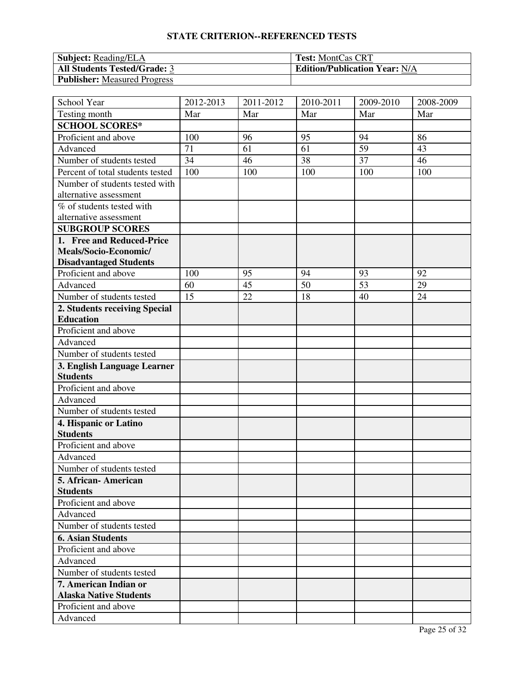| <b>Subject:</b> Reading/ELA         | <b>Test: MontCas CRT</b>             |
|-------------------------------------|--------------------------------------|
| <b>All Students Tested/Grade: 3</b> | <b>Edition/Publication Year: N/A</b> |
| <b>Publisher:</b> Measured Progress |                                      |

| School Year                      | 2012-2013 | 2011-2012 | 2010-2011       | 2009-2010 | 2008-2009 |
|----------------------------------|-----------|-----------|-----------------|-----------|-----------|
| Testing month                    | Mar       | Mar       | Mar             | Mar       | Mar       |
| <b>SCHOOL SCORES*</b>            |           |           |                 |           |           |
| Proficient and above             | 100       | 96        | 95              | 94        | 86        |
| Advanced                         | 71        | 61        | 61              | 59        | 43        |
| Number of students tested        | 34        | 46        | $\overline{38}$ | 37        | 46        |
| Percent of total students tested | 100       | 100       | 100             | 100       | 100       |
| Number of students tested with   |           |           |                 |           |           |
| alternative assessment           |           |           |                 |           |           |
| % of students tested with        |           |           |                 |           |           |
| alternative assessment           |           |           |                 |           |           |
| <b>SUBGROUP SCORES</b>           |           |           |                 |           |           |
| 1. Free and Reduced-Price        |           |           |                 |           |           |
| Meals/Socio-Economic/            |           |           |                 |           |           |
| <b>Disadvantaged Students</b>    |           |           |                 |           |           |
| Proficient and above             | 100       | 95        | 94              | 93        | 92        |
| Advanced                         | 60        | 45        | 50              | 53        | 29        |
| Number of students tested        | 15        | 22        | 18              | 40        | 24        |
| 2. Students receiving Special    |           |           |                 |           |           |
| <b>Education</b>                 |           |           |                 |           |           |
| Proficient and above             |           |           |                 |           |           |
| Advanced                         |           |           |                 |           |           |
| Number of students tested        |           |           |                 |           |           |
| 3. English Language Learner      |           |           |                 |           |           |
| <b>Students</b>                  |           |           |                 |           |           |
| Proficient and above             |           |           |                 |           |           |
| Advanced                         |           |           |                 |           |           |
| Number of students tested        |           |           |                 |           |           |
| 4. Hispanic or Latino            |           |           |                 |           |           |
| <b>Students</b>                  |           |           |                 |           |           |
| Proficient and above             |           |           |                 |           |           |
| Advanced                         |           |           |                 |           |           |
| Number of students tested        |           |           |                 |           |           |
| 5. African- American             |           |           |                 |           |           |
| <b>Students</b>                  |           |           |                 |           |           |
| Proficient and above             |           |           |                 |           |           |
| Advanced                         |           |           |                 |           |           |
| Number of students tested        |           |           |                 |           |           |
| <b>6. Asian Students</b>         |           |           |                 |           |           |
| Proficient and above             |           |           |                 |           |           |
| Advanced                         |           |           |                 |           |           |
| Number of students tested        |           |           |                 |           |           |
| 7. American Indian or            |           |           |                 |           |           |
| <b>Alaska Native Students</b>    |           |           |                 |           |           |
| Proficient and above             |           |           |                 |           |           |
| Advanced                         |           |           |                 |           |           |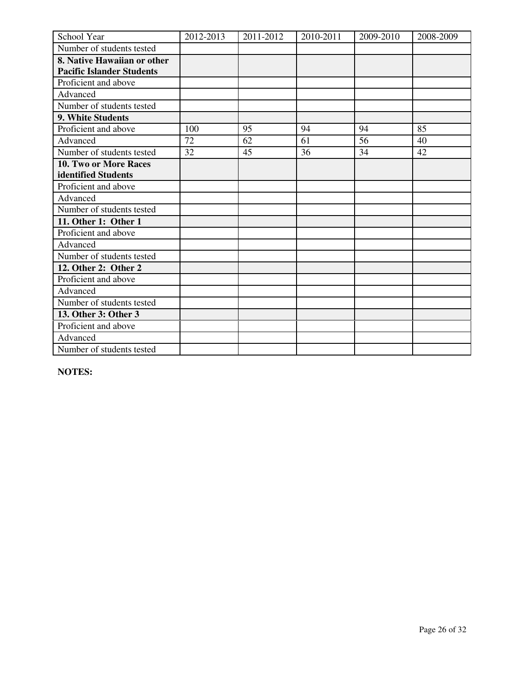| School Year                      | 2012-2013 | 2011-2012 | 2010-2011 | 2009-2010 | 2008-2009 |
|----------------------------------|-----------|-----------|-----------|-----------|-----------|
| Number of students tested        |           |           |           |           |           |
| 8. Native Hawaiian or other      |           |           |           |           |           |
| <b>Pacific Islander Students</b> |           |           |           |           |           |
| Proficient and above             |           |           |           |           |           |
| Advanced                         |           |           |           |           |           |
| Number of students tested        |           |           |           |           |           |
| 9. White Students                |           |           |           |           |           |
| Proficient and above             | 100       | 95        | 94        | 94        | 85        |
| Advanced                         | 72        | 62        | 61        | 56        | 40        |
| Number of students tested        | 32        | 45        | 36        | 34        | 42        |
| 10. Two or More Races            |           |           |           |           |           |
| identified Students              |           |           |           |           |           |
| Proficient and above             |           |           |           |           |           |
| Advanced                         |           |           |           |           |           |
| Number of students tested        |           |           |           |           |           |
| 11. Other 1: Other 1             |           |           |           |           |           |
| Proficient and above             |           |           |           |           |           |
| Advanced                         |           |           |           |           |           |
| Number of students tested        |           |           |           |           |           |
| 12. Other 2: Other 2             |           |           |           |           |           |
| Proficient and above             |           |           |           |           |           |
| Advanced                         |           |           |           |           |           |
| Number of students tested        |           |           |           |           |           |
| 13. Other 3: Other 3             |           |           |           |           |           |
| Proficient and above             |           |           |           |           |           |
| Advanced                         |           |           |           |           |           |
| Number of students tested        |           |           |           |           |           |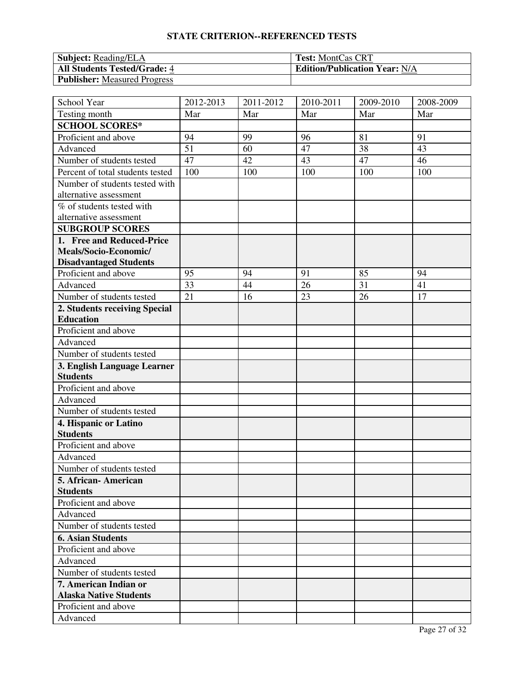| <b>Subject:</b> Reading/ELA         | <b>Test: MontCas CRT</b>             |
|-------------------------------------|--------------------------------------|
| <b>All Students Tested/Grade: 4</b> | <b>Edition/Publication Year: N/A</b> |
| <b>Publisher:</b> Measured Progress |                                      |

| School Year                      | 2012-2013 | 2011-2012 | 2010-2011 | 2009-2010 | 2008-2009 |
|----------------------------------|-----------|-----------|-----------|-----------|-----------|
| Testing month                    | Mar       | Mar       | Mar       | Mar       | Mar       |
| <b>SCHOOL SCORES*</b>            |           |           |           |           |           |
| Proficient and above             | 94        | 99        | 96        | 81        | 91        |
| Advanced                         | 51        | 60        | 47        | 38        | 43        |
| Number of students tested        | 47        | 42        | 43        | 47        | 46        |
| Percent of total students tested | 100       | 100       | 100       | 100       | 100       |
| Number of students tested with   |           |           |           |           |           |
| alternative assessment           |           |           |           |           |           |
| % of students tested with        |           |           |           |           |           |
| alternative assessment           |           |           |           |           |           |
| <b>SUBGROUP SCORES</b>           |           |           |           |           |           |
| 1. Free and Reduced-Price        |           |           |           |           |           |
| Meals/Socio-Economic/            |           |           |           |           |           |
| <b>Disadvantaged Students</b>    |           |           |           |           |           |
| Proficient and above             | 95        | 94        | 91        | 85        | 94        |
| Advanced                         | 33        | 44        | 26        | 31        | 41        |
| Number of students tested        | 21        | 16        | 23        | 26        | 17        |
| 2. Students receiving Special    |           |           |           |           |           |
| <b>Education</b>                 |           |           |           |           |           |
| Proficient and above             |           |           |           |           |           |
| Advanced                         |           |           |           |           |           |
| Number of students tested        |           |           |           |           |           |
| 3. English Language Learner      |           |           |           |           |           |
| <b>Students</b>                  |           |           |           |           |           |
| Proficient and above             |           |           |           |           |           |
| Advanced                         |           |           |           |           |           |
| Number of students tested        |           |           |           |           |           |
| 4. Hispanic or Latino            |           |           |           |           |           |
| <b>Students</b>                  |           |           |           |           |           |
| Proficient and above             |           |           |           |           |           |
| Advanced                         |           |           |           |           |           |
| Number of students tested        |           |           |           |           |           |
| 5. African- American             |           |           |           |           |           |
| <b>Students</b>                  |           |           |           |           |           |
| Proficient and above             |           |           |           |           |           |
| Advanced                         |           |           |           |           |           |
| Number of students tested        |           |           |           |           |           |
| <b>6. Asian Students</b>         |           |           |           |           |           |
| Proficient and above             |           |           |           |           |           |
| Advanced                         |           |           |           |           |           |
| Number of students tested        |           |           |           |           |           |
| 7. American Indian or            |           |           |           |           |           |
| <b>Alaska Native Students</b>    |           |           |           |           |           |
| Proficient and above             |           |           |           |           |           |
| Advanced                         |           |           |           |           |           |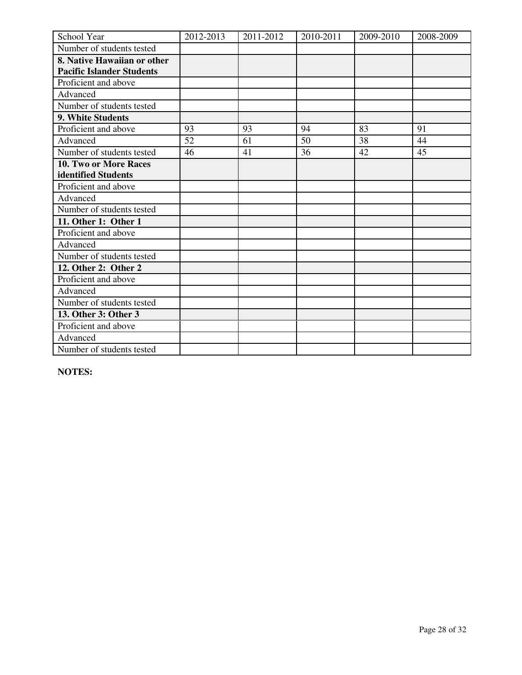| School Year                      | 2012-2013 | 2011-2012 | 2010-2011 | 2009-2010 | 2008-2009 |
|----------------------------------|-----------|-----------|-----------|-----------|-----------|
| Number of students tested        |           |           |           |           |           |
| 8. Native Hawaiian or other      |           |           |           |           |           |
| <b>Pacific Islander Students</b> |           |           |           |           |           |
| Proficient and above             |           |           |           |           |           |
| Advanced                         |           |           |           |           |           |
| Number of students tested        |           |           |           |           |           |
| 9. White Students                |           |           |           |           |           |
| Proficient and above             | 93        | 93        | 94        | 83        | 91        |
| Advanced                         | 52        | 61        | 50        | 38        | 44        |
| Number of students tested        | 46        | 41        | 36        | 42        | 45        |
| 10. Two or More Races            |           |           |           |           |           |
| identified Students              |           |           |           |           |           |
| Proficient and above             |           |           |           |           |           |
| Advanced                         |           |           |           |           |           |
| Number of students tested        |           |           |           |           |           |
| 11. Other 1: Other 1             |           |           |           |           |           |
| Proficient and above             |           |           |           |           |           |
| Advanced                         |           |           |           |           |           |
| Number of students tested        |           |           |           |           |           |
| 12. Other 2: Other 2             |           |           |           |           |           |
| Proficient and above             |           |           |           |           |           |
| Advanced                         |           |           |           |           |           |
| Number of students tested        |           |           |           |           |           |
| 13. Other 3: Other 3             |           |           |           |           |           |
| Proficient and above             |           |           |           |           |           |
| Advanced                         |           |           |           |           |           |
| Number of students tested        |           |           |           |           |           |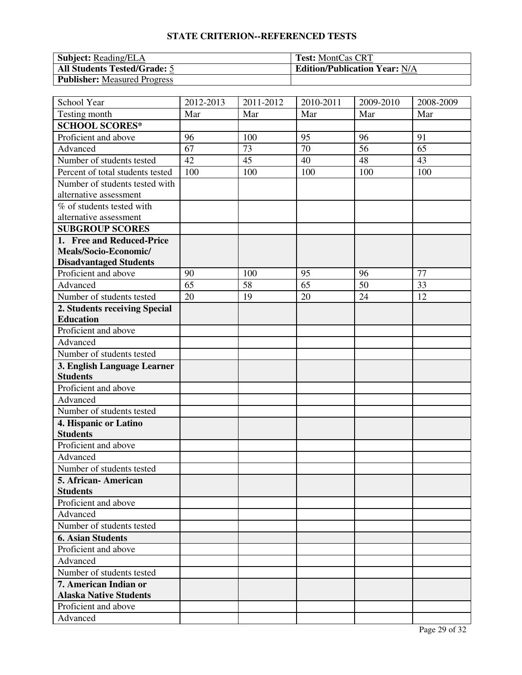| <b>Subject:</b> Reading/ELA         | <b>Test: MontCas CRT</b>             |
|-------------------------------------|--------------------------------------|
| <b>All Students Tested/Grade: 5</b> | <b>Edition/Publication Year: N/A</b> |
| <b>Publisher:</b> Measured Progress |                                      |

| School Year                      | 2012-2013 | 2011-2012 | 2010-2011 | 2009-2010 | 2008-2009 |
|----------------------------------|-----------|-----------|-----------|-----------|-----------|
| Testing month                    | Mar       | Mar       | Mar       | Mar       | Mar       |
| <b>SCHOOL SCORES*</b>            |           |           |           |           |           |
| Proficient and above             | 96        | 100       | 95        | 96        | 91        |
| Advanced                         | 67        | 73        | 70        | 56        | 65        |
| Number of students tested        | 42        | 45        | 40        | 48        | 43        |
| Percent of total students tested | 100       | 100       | 100       | 100       | 100       |
| Number of students tested with   |           |           |           |           |           |
| alternative assessment           |           |           |           |           |           |
| % of students tested with        |           |           |           |           |           |
| alternative assessment           |           |           |           |           |           |
| <b>SUBGROUP SCORES</b>           |           |           |           |           |           |
| 1. Free and Reduced-Price        |           |           |           |           |           |
| Meals/Socio-Economic/            |           |           |           |           |           |
| <b>Disadvantaged Students</b>    |           |           |           |           |           |
| Proficient and above             | 90        | 100       | 95        | 96        | 77        |
| Advanced                         | 65        | 58        | 65        | 50        | 33        |
| Number of students tested        | 20        | 19        | 20        | 24        | 12        |
| 2. Students receiving Special    |           |           |           |           |           |
| <b>Education</b>                 |           |           |           |           |           |
| Proficient and above             |           |           |           |           |           |
| Advanced                         |           |           |           |           |           |
| Number of students tested        |           |           |           |           |           |
| 3. English Language Learner      |           |           |           |           |           |
| <b>Students</b>                  |           |           |           |           |           |
| Proficient and above             |           |           |           |           |           |
| Advanced                         |           |           |           |           |           |
| Number of students tested        |           |           |           |           |           |
| 4. Hispanic or Latino            |           |           |           |           |           |
| <b>Students</b>                  |           |           |           |           |           |
| Proficient and above             |           |           |           |           |           |
| Advanced                         |           |           |           |           |           |
| Number of students tested        |           |           |           |           |           |
| 5. African- American             |           |           |           |           |           |
| <b>Students</b>                  |           |           |           |           |           |
| Proficient and above             |           |           |           |           |           |
| Advanced                         |           |           |           |           |           |
| Number of students tested        |           |           |           |           |           |
| <b>6. Asian Students</b>         |           |           |           |           |           |
| Proficient and above             |           |           |           |           |           |
| Advanced                         |           |           |           |           |           |
| Number of students tested        |           |           |           |           |           |
| 7. American Indian or            |           |           |           |           |           |
| <b>Alaska Native Students</b>    |           |           |           |           |           |
| Proficient and above             |           |           |           |           |           |
| Advanced                         |           |           |           |           |           |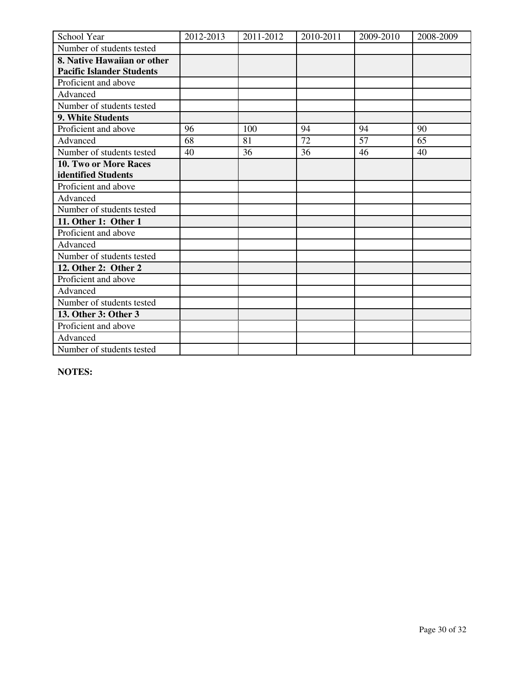| School Year                      | 2012-2013 | 2011-2012 | 2010-2011 | 2009-2010 | 2008-2009 |
|----------------------------------|-----------|-----------|-----------|-----------|-----------|
| Number of students tested        |           |           |           |           |           |
| 8. Native Hawaiian or other      |           |           |           |           |           |
| <b>Pacific Islander Students</b> |           |           |           |           |           |
| Proficient and above             |           |           |           |           |           |
| Advanced                         |           |           |           |           |           |
| Number of students tested        |           |           |           |           |           |
| 9. White Students                |           |           |           |           |           |
| Proficient and above             | 96        | 100       | 94        | 94        | 90        |
| Advanced                         | 68        | 81        | 72        | 57        | 65        |
| Number of students tested        | 40        | 36        | 36        | 46        | 40        |
| 10. Two or More Races            |           |           |           |           |           |
| identified Students              |           |           |           |           |           |
| Proficient and above             |           |           |           |           |           |
| Advanced                         |           |           |           |           |           |
| Number of students tested        |           |           |           |           |           |
| 11. Other 1: Other 1             |           |           |           |           |           |
| Proficient and above             |           |           |           |           |           |
| Advanced                         |           |           |           |           |           |
| Number of students tested        |           |           |           |           |           |
| 12. Other 2: Other 2             |           |           |           |           |           |
| Proficient and above             |           |           |           |           |           |
| Advanced                         |           |           |           |           |           |
| Number of students tested        |           |           |           |           |           |
| 13. Other 3: Other 3             |           |           |           |           |           |
| Proficient and above             |           |           |           |           |           |
| Advanced                         |           |           |           |           |           |
| Number of students tested        |           |           |           |           |           |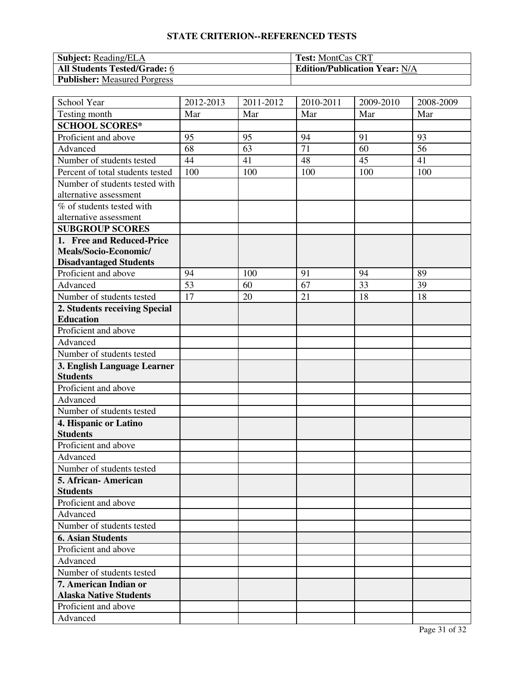| <b>Subject:</b> Reading/ELA         | <b>Test: MontCas CRT</b>             |
|-------------------------------------|--------------------------------------|
| <b>All Students Tested/Grade: 6</b> | <b>Edition/Publication Year: N/A</b> |
| <b>Publisher:</b> Measured Porgress |                                      |

| School Year                      | 2012-2013 | 2011-2012 | 2010-2011 | 2009-2010 | 2008-2009 |
|----------------------------------|-----------|-----------|-----------|-----------|-----------|
| Testing month                    | Mar       | Mar       | Mar       | Mar       | Mar       |
| <b>SCHOOL SCORES*</b>            |           |           |           |           |           |
| Proficient and above             | 95        | 95        | 94        | 91        | 93        |
| Advanced                         | 68        | 63        | 71        | 60        | 56        |
| Number of students tested        | 44        | 41        | 48        | 45        | 41        |
| Percent of total students tested | 100       | 100       | 100       | 100       | 100       |
| Number of students tested with   |           |           |           |           |           |
| alternative assessment           |           |           |           |           |           |
| % of students tested with        |           |           |           |           |           |
| alternative assessment           |           |           |           |           |           |
| <b>SUBGROUP SCORES</b>           |           |           |           |           |           |
| 1. Free and Reduced-Price        |           |           |           |           |           |
| Meals/Socio-Economic/            |           |           |           |           |           |
| <b>Disadvantaged Students</b>    |           |           |           |           |           |
| Proficient and above             | 94        | 100       | 91        | 94        | 89        |
| Advanced                         | 53        | 60        | 67        | 33        | 39        |
| Number of students tested        | 17        | 20        | 21        | 18        | 18        |
| 2. Students receiving Special    |           |           |           |           |           |
| <b>Education</b>                 |           |           |           |           |           |
| Proficient and above             |           |           |           |           |           |
| Advanced                         |           |           |           |           |           |
| Number of students tested        |           |           |           |           |           |
| 3. English Language Learner      |           |           |           |           |           |
| <b>Students</b>                  |           |           |           |           |           |
| Proficient and above             |           |           |           |           |           |
| Advanced                         |           |           |           |           |           |
| Number of students tested        |           |           |           |           |           |
| 4. Hispanic or Latino            |           |           |           |           |           |
| <b>Students</b>                  |           |           |           |           |           |
| Proficient and above             |           |           |           |           |           |
| Advanced                         |           |           |           |           |           |
| Number of students tested        |           |           |           |           |           |
| 5. African- American             |           |           |           |           |           |
| <b>Students</b>                  |           |           |           |           |           |
| Proficient and above             |           |           |           |           |           |
| Advanced                         |           |           |           |           |           |
| Number of students tested        |           |           |           |           |           |
| <b>6. Asian Students</b>         |           |           |           |           |           |
| Proficient and above             |           |           |           |           |           |
| Advanced                         |           |           |           |           |           |
| Number of students tested        |           |           |           |           |           |
| 7. American Indian or            |           |           |           |           |           |
| <b>Alaska Native Students</b>    |           |           |           |           |           |
| Proficient and above             |           |           |           |           |           |
| Advanced                         |           |           |           |           |           |